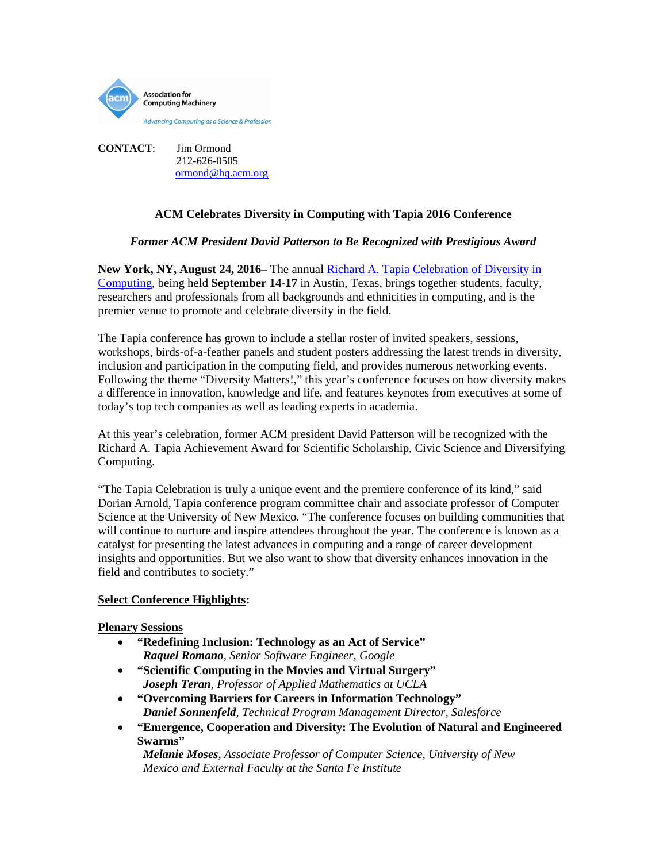

**CONTACT**: Jim Ormond 212-626-0505 [ormond@hq.acm.org](mailto:ormond@hq.acm.org)

# **ACM Celebrates Diversity in Computing with Tapia 2016 Conference**

# *Former ACM President David Patterson to Be Recognized with Prestigious Award*

**New York, NY, August 24, 2016**– The annual [Richard A. Tapia Celebration of Diversity in](http://tapiaconference.org/)  [Computing,](http://tapiaconference.org/) being held **September 14-17** in Austin, Texas, brings together students, faculty, researchers and professionals from all backgrounds and ethnicities in computing, and is the premier venue to promote and celebrate diversity in the field.

The Tapia conference has grown to include a stellar roster of invited speakers, sessions, workshops, birds-of-a-feather panels and student posters addressing the latest trends in diversity, inclusion and participation in the computing field, and provides numerous networking events. Following the theme "Diversity Matters!," this year's conference focuses on how diversity makes a difference in innovation, knowledge and life, and features keynotes from executives at some of today's top tech companies as well as leading experts in academia.

At this year's celebration, former ACM president David Patterson will be recognized with the Richard A. Tapia Achievement Award for Scientific Scholarship, Civic Science and Diversifying Computing.

"The Tapia Celebration is truly a unique event and the premiere conference of its kind," said Dorian Arnold, Tapia conference program committee chair and associate professor of Computer Science at the University of New Mexico. "The conference focuses on building communities that will continue to nurture and inspire attendees throughout the year. The conference is known as a catalyst for presenting the latest advances in computing and a range of career development insights and opportunities. But we also want to show that diversity enhances innovation in the field and contributes to society."

## **Select Conference Highlights:**

## **Plenary Sessions**

- **"Redefining Inclusion: Technology as an Act of Service"**  *Raquel Romano, Senior Software Engineer, Google*
- **"Scientific Computing in the Movies and Virtual Surgery"**  *Joseph Teran, Professor of Applied Mathematics at UCLA*
- **"Overcoming Barriers for Careers in Information Technology"**  *Daniel Sonnenfeld, Technical Program Management Director, Salesforce*
- **"Emergence, Cooperation and Diversity: The Evolution of Natural and Engineered Swarms"**

 *Melanie Moses, Associate Professor of Computer Science, University of New Mexico and External Faculty at the Santa Fe Institute*